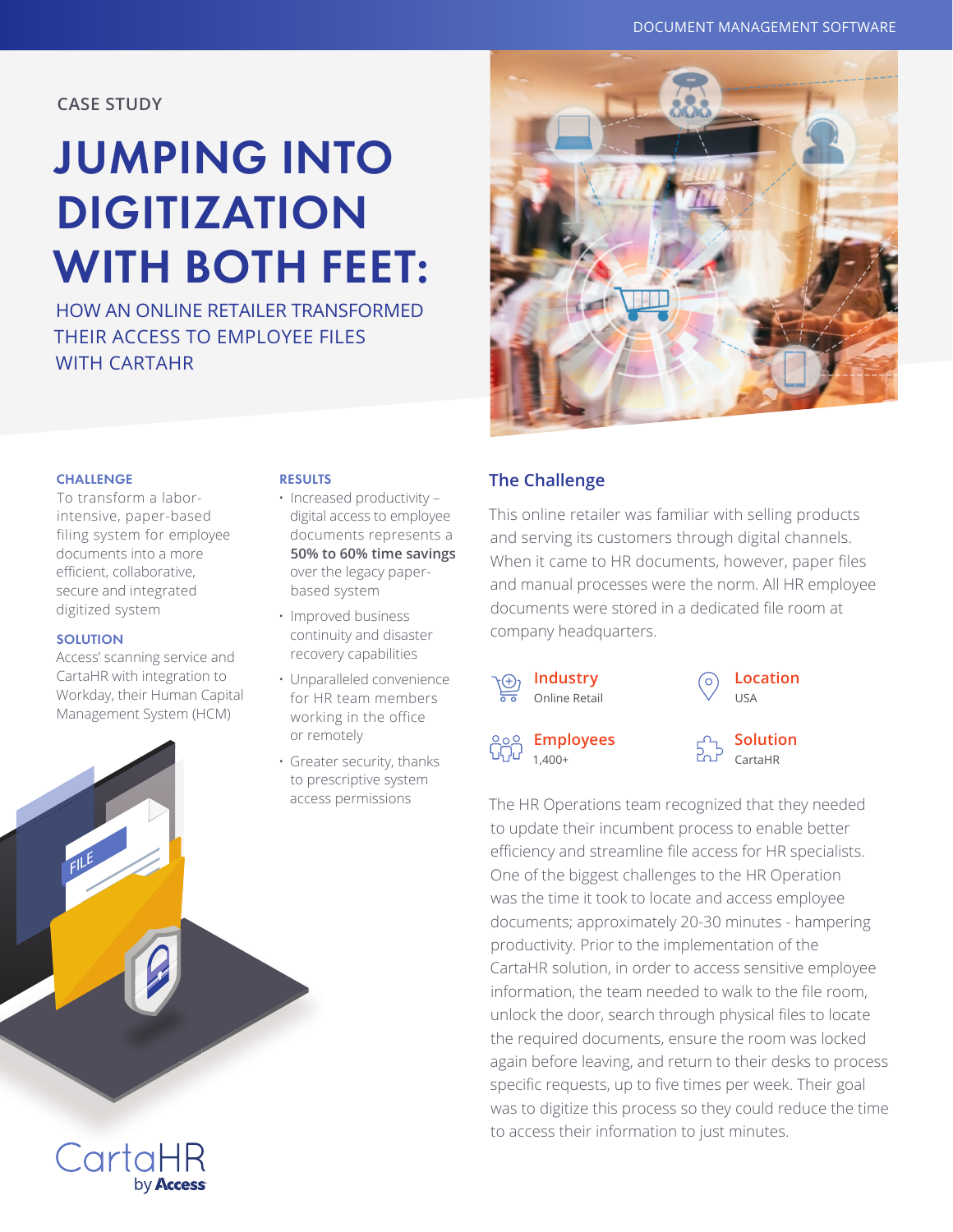**CASE STUDY**

# JUMPING INTO DIGITIZATION WITH BOTH FEET:

HOW AN ONLINE RETAILER TRANSFORMED THEIR ACCESS TO EMPLOYEE FILES WITH CARTAHR



#### **CHALLENGE**

 To transform a laborintensive, paper-based filing system for employee documents into a more efficient, collaborative, secure and integrated digitized system

#### **SOLUTION**

Access' scanning service and CartaHR with integration to Workday, their Human Capital Management System (HCM)

#### **RESULTS**

• Increased productivity – digital access to employee documents represents a **50% to 60% time savings**  over the legacy paperbased system

- Improved business continuity and disaster recovery capabilities
- Unparalleled convenience for HR team members working in the office or remotely
- Greater security, thanks to prescriptive system access permissions

## **The Challenge**

This online retailer was familiar with selling products and serving its customers through digital channels. When it came to HR documents, however, paper files and manual processes were the norm. All HR employee documents were stored in a dedicated file room at company headquarters.





**Employees** 1,400+

**Solution** CartaHR

The HR Operations team recognized that they needed to update their incumbent process to enable better efficiency and streamline file access for HR specialists. One of the biggest challenges to the HR Operation was the time it took to locate and access employee documents; approximately 20-30 minutes - hampering productivity. Prior to the implementation of the CartaHR solution, in order to access sensitive employee information, the team needed to walk to the file room, unlock the door, search through physical files to locate the required documents, ensure the room was locked again before leaving, and return to their desks to process specific requests, up to five times per week. Their goal was to digitize this process so they could reduce the time to access their information to just minutes.

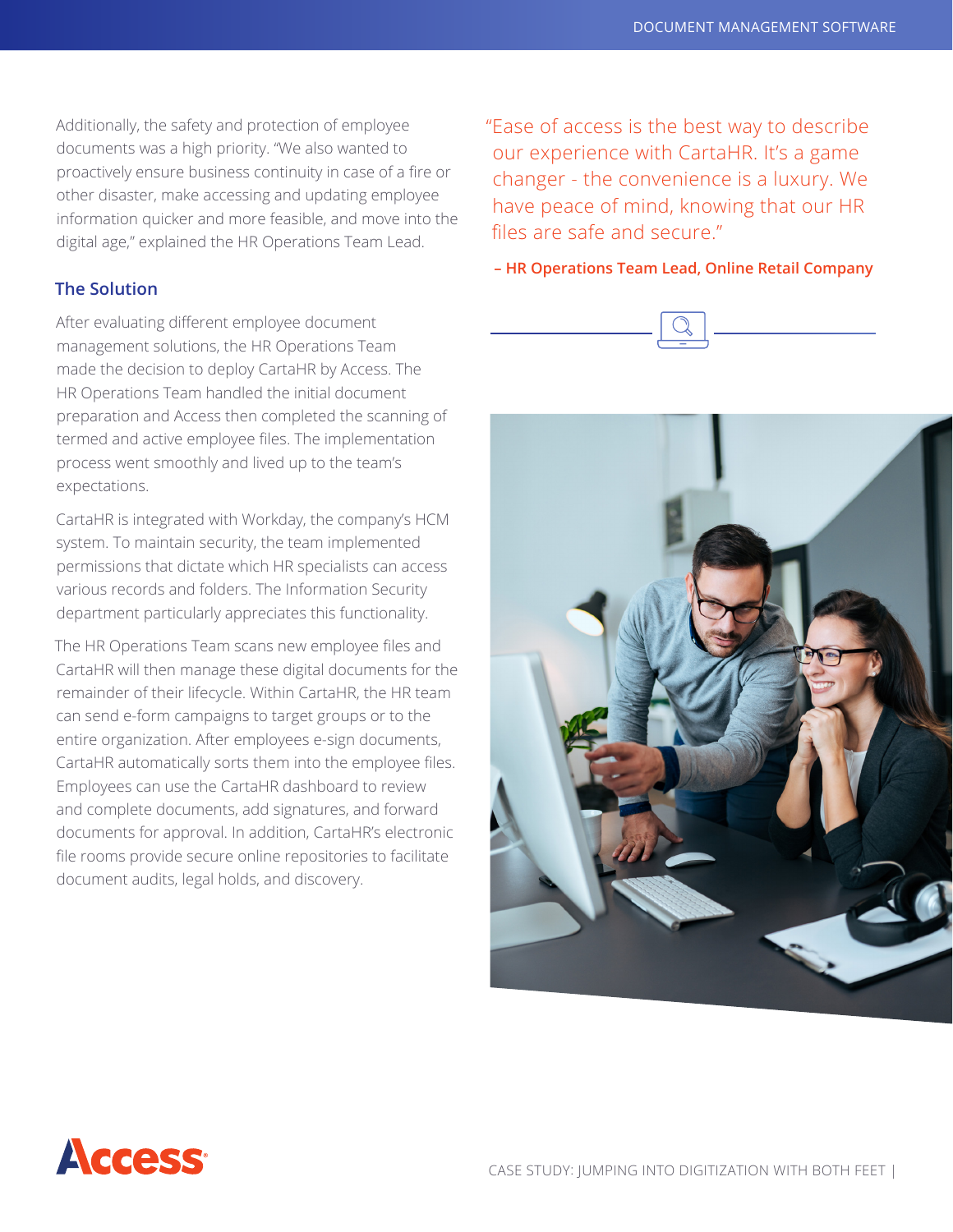Additionally, the safety and protection of employee documents was a high priority. "We also wanted to proactively ensure business continuity in case of a fire or other disaster, make accessing and updating employee information quicker and more feasible, and move into the digital age," explained the HR Operations Team Lead.

## **The Solution**

After evaluating different employee document management solutions, the HR Operations Team made the decision to deploy CartaHR by Access. The HR Operations Team handled the initial document preparation and Access then completed the scanning of termed and active employee files. The implementation process went smoothly and lived up to the team's expectations.

CartaHR is integrated with Workday, the company's HCM system. To maintain security, the team implemented permissions that dictate which HR specialists can access various records and folders. The Information Security department particularly appreciates this functionality.

The HR Operations Team scans new employee files and CartaHR will then manage these digital documents for the remainder of their lifecycle. Within CartaHR, the HR team can send e-form campaigns to target groups or to the entire organization. After employees e-sign documents, CartaHR automatically sorts them into the employee files. Employees can use the CartaHR dashboard to review and complete documents, add signatures, and forward documents for approval. In addition, CartaHR's electronic file rooms provide secure online repositories to facilitate document audits, legal holds, and discovery.

"Ease of access is the best way to describe our experience with CartaHR. It's a game changer - the convenience is a luxury. We have peace of mind, knowing that our HR files are safe and secure."

#### **– HR Operations Team Lead, Online Retail Company**